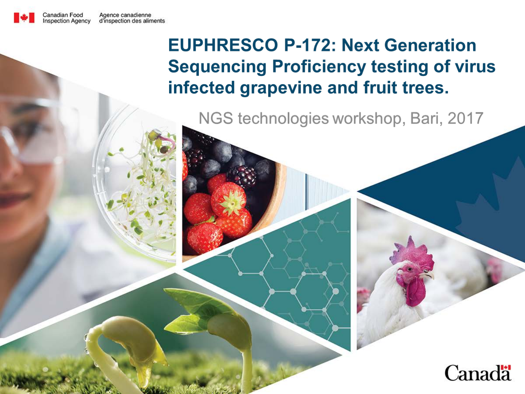Canadian Food Agence canadienne<br>d'inspection des aliments **Inspection Agency** 

### **EUPHRESCO P-172: Next Generation Sequencing Proficiency testing of virus** infected grapevine and fruit trees.

NGS technologies workshop, Bari, 2017

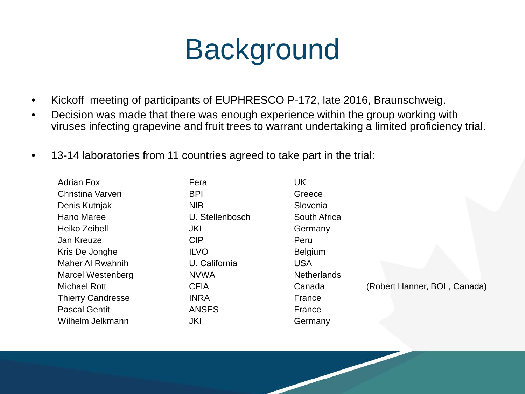

- Kickoff meeting of participants of EUPHRESCO P-172, late 2016, Braunschweig.
- Decision was made that there was enough experience within the group working with viruses infecting grapevine and fruit trees to warrant undertaking a limited proficiency trial.
- 13-14 laboratories from 11 countries agreed to take part in the trial:

| <b>Adrian Fox</b>        | Fera            | UK                 |                              |
|--------------------------|-----------------|--------------------|------------------------------|
| Christina Varveri        | <b>BPI</b>      | Greece             |                              |
| Denis Kutnjak            | <b>NIB</b>      | Slovenia           |                              |
| Hano Maree               | U. Stellenbosch | South Africa       |                              |
| Heiko Zeibell            | JKI             | Germany            |                              |
| Jan Kreuze               | <b>CIP</b>      | Peru               |                              |
| Kris De Jonghe           | <b>ILVO</b>     | <b>Belgium</b>     |                              |
| Maher Al Rwahnih         | U. California   | <b>USA</b>         |                              |
| Marcel Westenberg        | <b>NVWA</b>     | <b>Netherlands</b> |                              |
| <b>Michael Rott</b>      | <b>CFIA</b>     | Canada             | (Robert Hanner, BOL, Canada) |
| <b>Thierry Candresse</b> | <b>INRA</b>     | France             |                              |
| <b>Pascal Gentit</b>     | <b>ANSES</b>    | France             |                              |
| Wilhelm Jelkmann         | JKI             | Germany            |                              |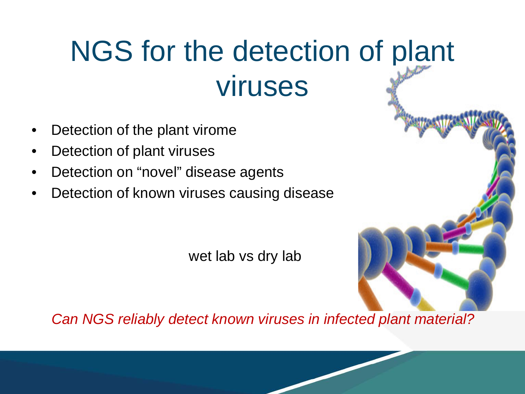## NGS for the detection [of plant](http://www.google.ca/url?sa=i&rct=j&q=&esrc=s&frm=1&source=images&cd=&cad=rja&uact=8&ved=0CAcQjRxqFQoTCN6HiIjh1scCFQpUPgodV4wGBA&url=http://www.nist.gov/pml/div689/dna_011911.cfm&psig=AFQjCNERzsxS81ZoG9NlrWYrY_7o_P7JIQ&ust=1441227790982434)  viruses

- Detection of the plant virome
- Detection of plant viruses
- Detection on "novel" disease agents
- Detection of known viruses causing disease

wet lab vs dry lab



*Can NGS reliably detect known viruses in infected plant material?*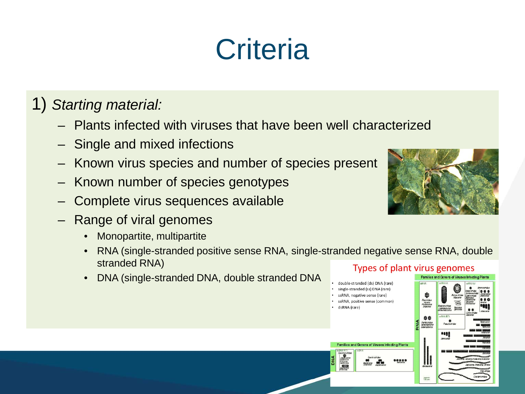## **Criteria**

### 1) *Starting material:*

- Plants infected with viruses that have been well characterized
- Single and mixed infections
- Known virus species and number of species present
- Known number of species genotypes
- Complete virus sequences available
- Range of viral genomes
	- Monopartite, multipartite
	- RNA (single-stranded positive sense RNA, single-stranded negative sense RNA, double stranded RNA) Types of plant virus genomes
	- DNA (single-stranded DNA, double stranded DNA



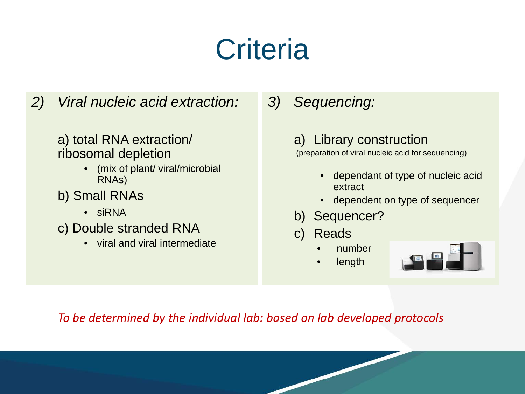## **Criteria**

### *2) Viral nucleic acid extraction:*

#### a) total RNA extraction/ ribosomal depletion

- (mix of plant/ viral/microbial RNAs)
- b) Small RNAs
	- siRNA
- c) Double stranded RNA
	- viral and viral intermediate

### *3) Sequencing:*

### a) Library construction

(preparation of viral nucleic acid for sequencing)

- dependant of type of nucleic acid extract
- dependent on type of sequencer
- b) Sequencer?
- c) Reads
	- number
	- **length**



*To be determined by the individual lab: based on lab developed protocols*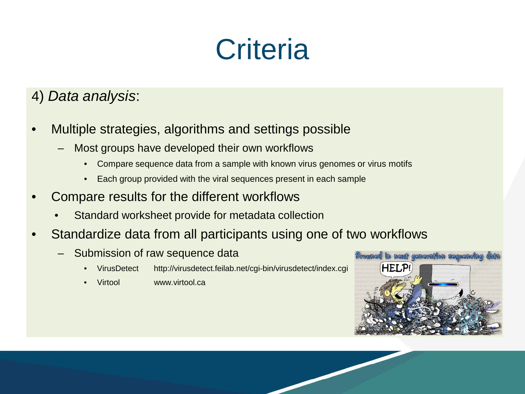## **Criteria**

### 4) *Data analysis*:

- Multiple strategies, algorithms and settings possible
	- Most groups have developed their own workflows
		- Compare sequence data from a sample with known virus genomes or virus motifs
		- Each group provided with the viral sequences present in each sample
- Compare results for the different workflows
	- Standard worksheet provide for metadata collection
- Standardize data from all participants using one of two workflows
	- Submission of raw sequence data
		- VirusDetect http://virusdetect.feilab.net/cgi-bin/virusdetect/index.cgi
		- Virtool www.virtool.ca

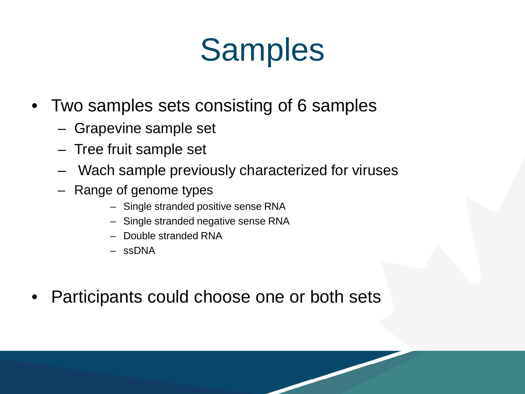## **Samples**

- Two samples sets consisting of 6 samples
	- Grapevine sample set
	- Tree fruit sample set
	- Wach sample previously characterized for viruses
	- Range of genome types
		- Single stranded positive sense RNA
		- Single stranded negative sense RNA
		- Double stranded RNA
		- ssDNA
- Participants could choose one or both sets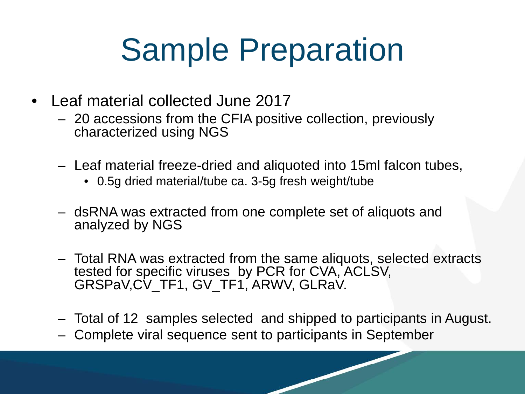# Sample Preparation

- Leaf material collected June 2017
	- 20 accessions from the CFIA positive collection, previously characterized using NGS
	- Leaf material freeze-dried and aliquoted into 15ml falcon tubes,
		- 0.5g dried material/tube ca. 3-5g fresh weight/tube
	- dsRNA was extracted from one complete set of aliquots and analyzed by NGS
	- Total RNA was extracted from the same aliquots, selected extracts tested for specific viruses by PCR for CVA, ACLSV, GRSPaV, CV TF1, GV TF1, ARWV, GLRaV.
	- Total of 12 samples selected and shipped to participants in August.
	- Complete viral sequence sent to participants in September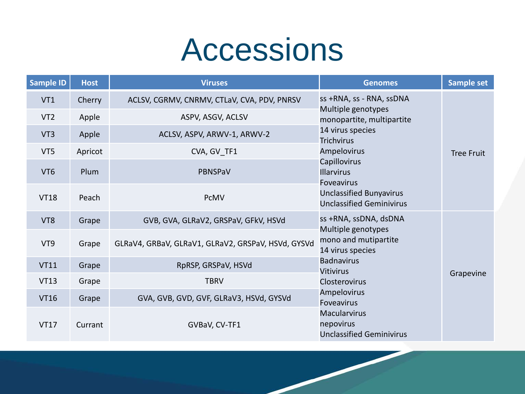### Accessions

| <b>Sample ID</b> | <b>Host</b> | <b>Viruses</b>                                     | <b>Genomes</b>                                                      | Sample set        |
|------------------|-------------|----------------------------------------------------|---------------------------------------------------------------------|-------------------|
| VT1              | Cherry      | ACLSV, CGRMV, CNRMV, CTLaV, CVA, PDV, PNRSV        | ss +RNA, ss - RNA, ssDNA                                            | <b>Tree Fruit</b> |
| VT <sub>2</sub>  | Apple       | ASPV, ASGV, ACLSV                                  | Multiple genotypes<br>monopartite, multipartite                     |                   |
| VT3              | Apple       | ACLSV, ASPV, ARWV-1, ARWV-2                        | 14 virus species<br><b>Trichvirus</b>                               |                   |
| VT5              | Apricot     | CVA, GV TF1                                        | Ampelovirus                                                         |                   |
| VT <sub>6</sub>  | Plum        | PBNSPaV                                            | Capillovirus<br><b>Illarvirus</b><br><b>Foveavirus</b>              |                   |
| <b>VT18</b>      | Peach       | PcMV                                               | <b>Unclassified Bunyavirus</b><br><b>Unclassified Geminivirus</b>   |                   |
| VT8              | Grape       | GVB, GVA, GLRaV2, GRSPaV, GFkV, HSVd               | ss +RNA, ssDNA, dsDNA                                               |                   |
| VT9              | Grape       | GLRaV4, GRBaV, GLRaV1, GLRaV2, GRSPaV, HSVd, GYSVd | Multiple genotypes<br>mono and mutipartite<br>14 virus species      |                   |
| <b>VT11</b>      | Grape       | RpRSP, GRSPaV, HSVd                                | <b>Badnavirus</b><br><b>Vitivirus</b>                               |                   |
| <b>VT13</b>      | Grape       | <b>TBRV</b>                                        | Closterovirus                                                       | Grapevine         |
| <b>VT16</b>      | Grape       | GVA, GVB, GVD, GVF, GLRaV3, HSVd, GYSVd            | Ampelovirus<br><b>Foveavirus</b>                                    |                   |
| <b>VT17</b>      | Currant     | GVBaV, CV-TF1                                      | <b>Macularvirus</b><br>nepovirus<br><b>Unclassified Geminivirus</b> |                   |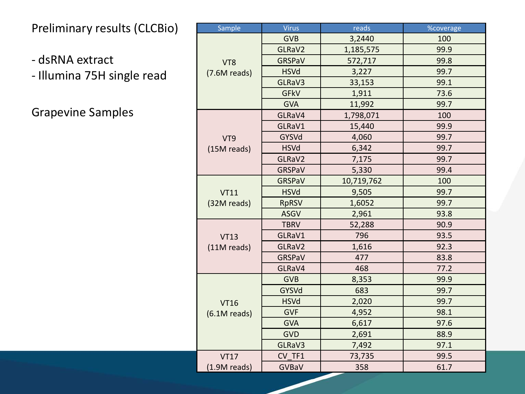#### Preliminary results (CLCBio )

- dsRNA extract
- Illumina 75H single read

Grapevine Samples

| Sample                        | <b>Virus</b>  | reads      | %coverage |
|-------------------------------|---------------|------------|-----------|
| VT8                           | <b>GVB</b>    | 3,2440     | 100       |
|                               | GLRaV2        | 1,185,575  | 99.9      |
|                               | <b>GRSPaV</b> | 572,717    | 99.8      |
| (7.6M reads)                  | <b>HSVd</b>   | 3,227      | 99.7      |
|                               | GLRaV3        | 33,153     | 99.1      |
|                               | <b>GFkV</b>   | 1,911      | 73.6      |
|                               | <b>GVA</b>    | 11,992     | 99.7      |
|                               | GLRaV4        | 1,798,071  | 100       |
|                               | GLRaV1        | 15,440     | 99.9      |
| VT9                           | GYSVd         | 4,060      | 99.7      |
| (15M reads)                   | <b>HSVd</b>   | 6,342      | 99.7      |
|                               | GLRaV2        | 7,175      | 99.7      |
|                               | <b>GRSPaV</b> | 5,330      | 99.4      |
|                               | <b>GRSPaV</b> | 10,719,762 | 100       |
| <b>VT11</b>                   | <b>HSVd</b>   | 9,505      | 99.7      |
| (32M reads)                   | <b>RpRSV</b>  | 1,6052     | 99.7      |
|                               | <b>ASGV</b>   | 2,961      | 93.8      |
|                               | <b>TBRV</b>   | 52,288     | 90.9      |
| <b>VT13</b>                   | GLRaV1        | 796        | 93.5      |
| $(11M$ reads)                 | GLRaV2        | 1,616      | 92.3      |
|                               | <b>GRSPaV</b> | 477        | 83.8      |
|                               | GLRaV4        | 468        | 77.2      |
|                               | <b>GVB</b>    | 8,353      | 99.9      |
| <b>VT16</b><br>$(6.1M$ reads) | <b>GYSVd</b>  | 683        | 99.7      |
|                               | <b>HSVd</b>   | 2,020      | 99.7      |
|                               | <b>GVF</b>    | 4,952      | 98.1      |
|                               | <b>GVA</b>    | 6,617      | 97.6      |
|                               | <b>GVD</b>    | 2,691      | 88.9      |
|                               | GLRaV3        | 7,492      | 97.1      |
| <b>VT17</b>                   | CV TF1        | 73,735     | 99.5      |
| $(1.9M$ reads)                | GVBaV         | 358        | 61.7      |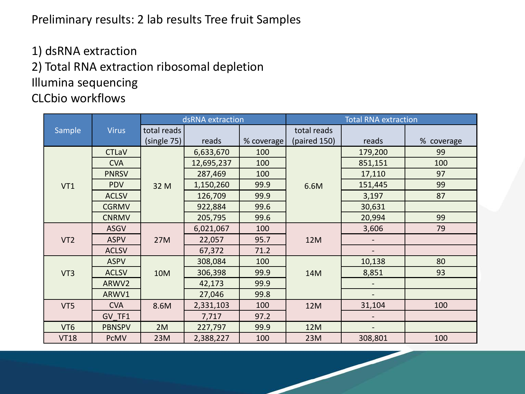#### Preliminary results: 2 lab results Tree fruit Samples

1) dsRNA extraction

#### 2) Total RNA extraction ribosomal depletion Illumina sequencing CLCbio workflows

|                 |               | dsRNA extraction |            | <b>Total RNA extraction</b> |              |         |            |
|-----------------|---------------|------------------|------------|-----------------------------|--------------|---------|------------|
| Sample          | <b>Virus</b>  | total reads      |            |                             | total reads  |         |            |
|                 |               | (single 75)      | reads      | % coverage                  | (paired 150) | reads   | % coverage |
|                 | <b>CTLaV</b>  |                  | 6,633,670  | 100                         |              | 179,200 | 99         |
|                 | <b>CVA</b>    |                  | 12,695,237 | 100                         |              | 851,151 | 100        |
|                 | <b>PNRSV</b>  |                  | 287,469    | 100                         |              | 17,110  | 97         |
| VT1             | <b>PDV</b>    | 32 M             | 1,150,260  | 99.9                        | 6.6M         | 151,445 | 99         |
|                 | <b>ACLSV</b>  |                  | 126,709    | 99.9                        |              | 3,197   | 87         |
|                 | <b>CGRMV</b>  |                  | 922,884    | 99.6                        |              | 30,631  |            |
|                 | <b>CNRMV</b>  |                  | 205,795    | 99.6                        |              | 20,994  | 99         |
|                 | <b>ASGV</b>   |                  | 6,021,067  | 100                         |              | 3,606   | 79         |
| VT <sub>2</sub> | <b>ASPV</b>   | 27M              | 22,057     | 95.7                        | 12M          |         |            |
|                 | <b>ACLSV</b>  |                  | 67,372     | 71.2                        |              |         |            |
| VT3             | <b>ASPV</b>   | 10M              | 308,084    | 100                         | 14M          | 10,138  | 80         |
|                 | <b>ACLSV</b>  |                  | 306,398    | 99.9                        |              | 8,851   | 93         |
|                 | ARWV2         |                  | 42,173     | 99.9                        |              |         |            |
|                 | ARWV1         |                  | 27,046     | 99.8                        |              |         |            |
| VT5             | <b>CVA</b>    | 8.6M             | 2,331,103  | 100                         | 12M          | 31,104  | 100        |
|                 | GV TF1        |                  | 7,717      | 97.2                        |              |         |            |
| VT <sub>6</sub> | <b>PBNSPV</b> | 2M               | 227,797    | 99.9                        | 12M          |         |            |
| <b>VT18</b>     | <b>PcMV</b>   | 23M              | 2,388,227  | 100                         | 23M          | 308,801 | 100        |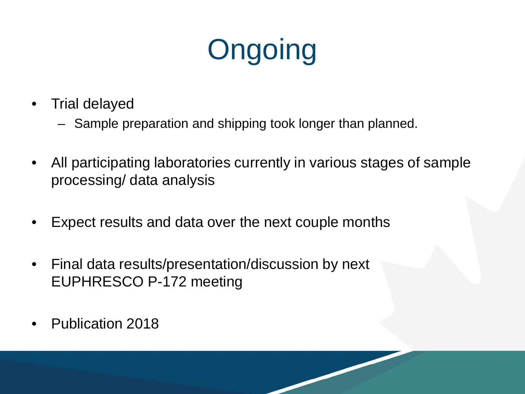# **Ongoing**

- Trial delayed
	- Sample preparation and shipping took longer than planned.
- All participating laboratories currently in various stages of sample processing/ data analysis
- Expect results and data over the next couple months
- Final data results/presentation/discussion by next EUPHRESCO P-172 meeting
- Publication 2018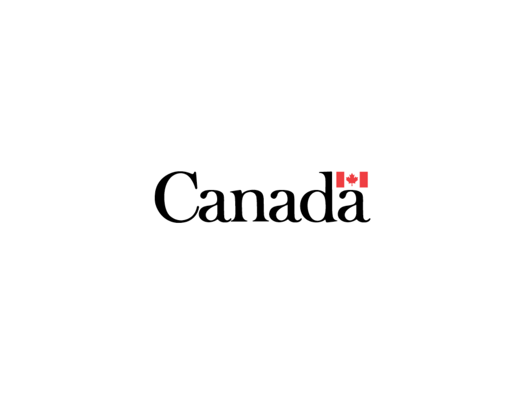